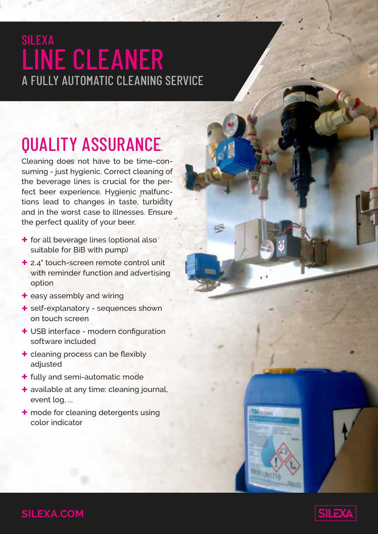### SILEXA LINE CLEANER A FULLY AUTOMATIC CLEANING SERVICE

## QUALITY ASSURANCE

Cleaning does not have to be time-consuming - just hygienic. Correct cleaning of the beverage lines is crucial for the perfect beer experience. Hygienic malfunctions lead to changes in taste, turbidity and in the worst case to illnesses. Ensure the perfect quality of your beer.

- **+** for all beverage lines (optional also suitable for BiB with pump)
- **+** 2.4" touch-screen remote control unit with reminder function and advertising option
- **+** easy assembly and wiring
- **+** self-explanatory sequences shown on touch screen
- **+** USB interface modern configuration software included
- **+** cleaning process can be flexibly adjusted
- **+** fully and semi-automatic mode
- **+** available at any time: cleaning journal, event log, ...
- **+** mode for cleaning detergents using color indicator







**SILEXA.COM**